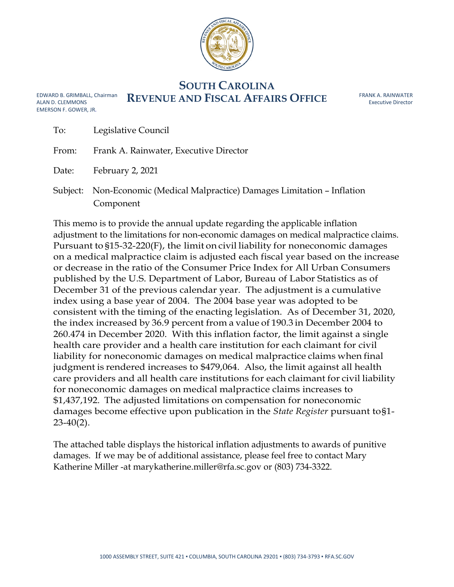

## **SOUTH CAROLINA REVENUE AND FISCAL AFFAIRS OFFICE**

FRANK A. RAINWATER Executive Director

| EDWARD B. GRIMBALL. Chairma |
|-----------------------------|
| ALAN D. CLEMMONS            |
| EMERSON F. GOWER. JR.       |

| To:   | Legislative Council                                                                     |
|-------|-----------------------------------------------------------------------------------------|
| From: | Frank A. Rainwater, Executive Director                                                  |
| Date: | February 2, 2021                                                                        |
|       | Subject: Non-Economic (Medical Malpractice) Damages Limitation - Inflation<br>Component |

This memo is to provide the annual update regarding the applicable inflation adjustment to the limitations for non-economic damages on medical malpractice claims. Pursuant to §15-32-220(F), the limit on civil liability for noneconomic damages on a medical malpractice claim is adjusted each fiscal year based on the increase or decrease in the ratio of the Consumer Price Index for All Urban Consumers published by the U.S. Department of Labor, Bureau of Labor Statistics as of December 31 of the previous calendar year. The adjustment is a cumulative index using a base year of 2004. The 2004 base year was adopted to be consistent with the timing of the enacting legislation. As of December 31, 2020, the index increased by 36.9 percent from a value of 190.3 in December 2004 to 260.474 in December 2020. With this inflation factor, the limit against a single health care provider and a health care institution for each claimant for civil liability for noneconomic damages on medical malpractice claims when final judgment is rendered increases to \$479,064. Also, the limit against all health care providers and all health care institutions for each claimant for civil liability for noneconomic damages on medical malpractice claims increases to \$1,437,192. The adjusted limitations on compensation for noneconomic damages become effective upon publication in the *State Register* pursuant to§1-  $23-40(2)$ .

The attached table displays the historical inflation adjustments to awards of punitive damages. If we may be of additional assistance, please feel free to contact Mary Katherine Miller -at marykatherine.miller@rfa.sc.gov or (803) 734-3322.